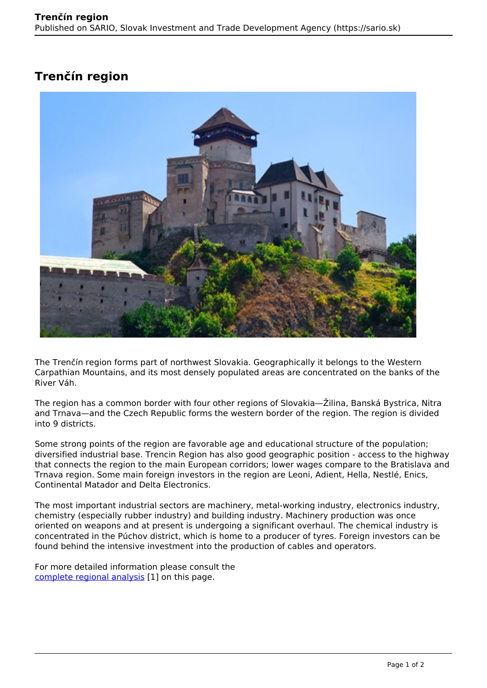## **Trenčín region**



The Trenčín region forms part of northwest Slovakia. Geographically it belongs to the Western Carpathian Mountains, and its most densely populated areas are concentrated on the banks of the River Váh.

The region has a common border with four other regions of Slovakia—Žilina, Banská Bystrica, Nitra and Trnava—and the Czech Republic forms the western border of the region. The region is divided into 9 districts.

Some strong points of the region are favorable age and educational structure of the population; diversified industrial base. Trencin Region has also good geographic position - access to the highway that connects the region to the main European corridors; lower wages compare to the Bratislava and Trnava region. Some main foreign investors in the region are Leoni, Adient, Hella, Nestlé, Enics, Continental Matador and Delta Electronics.

The most important industrial sectors are machinery, metal-working industry, electronics industry, chemistry (especially rubber industry) and building industry. Machinery production was once oriented on weapons and at present is undergoing a significant overhaul. The chemical industry is concentrated in the Púchov district, which is home to a producer of tyres. Foreign investors can be found behind the intensive investment into the production of cables and operators.

For more detailed information please consult the [complete regional analysis](https://www.sario.sk/sites/default/files/content/files/Trencin%20Region.pdf) [1] on this page.